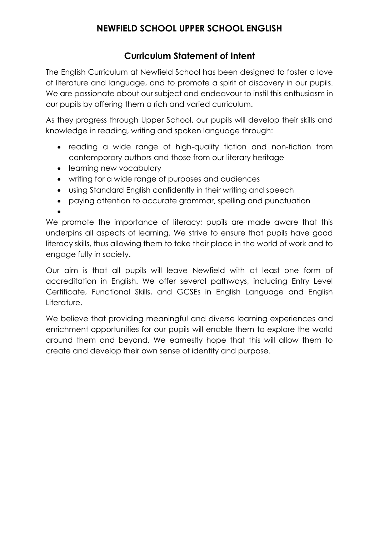# **Curriculum Statement of Intent**

The English Curriculum at Newfield School has been designed to foster a love of literature and language, and to promote a spirit of discovery in our pupils. We are passionate about our subject and endeavour to instil this enthusiasm in our pupils by offering them a rich and varied curriculum.

As they progress through Upper School, our pupils will develop their skills and knowledge in reading, writing and spoken language through:

- reading a wide range of high-quality fiction and non-fiction from contemporary authors and those from our literary heritage
- learning new vocabulary
- writing for a wide range of purposes and audiences
- using Standard English confidently in their writing and speech
- paying attention to accurate grammar, spelling and punctuation

 $\bullet$ 

We promote the importance of literacy; pupils are made aware that this underpins all aspects of learning. We strive to ensure that pupils have good literacy skills, thus allowing them to take their place in the world of work and to engage fully in society.

Our aim is that all pupils will leave Newfield with at least one form of accreditation in English. We offer several pathways, including Entry Level Certificate, Functional Skills, and GCSEs in English Language and English Literature.

We believe that providing meaningful and diverse learning experiences and enrichment opportunities for our pupils will enable them to explore the world around them and beyond. We earnestly hope that this will allow them to create and develop their own sense of identity and purpose.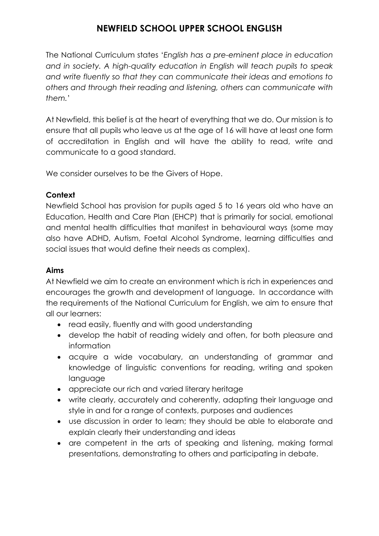The National Curriculum states '*English has a pre-eminent place in education and in society. A high-quality education in English will teach pupils to speak and write fluently so that they can communicate their ideas and emotions to others and through their reading and listening, others can communicate with them.*'

At Newfield, this belief is at the heart of everything that we do. Our mission is to ensure that all pupils who leave us at the age of 16 will have at least one form of accreditation in English and will have the ability to read, write and communicate to a good standard.

We consider ourselves to be the Givers of Hope.

## **Context**

Newfield School has provision for pupils aged 5 to 16 years old who have an Education, Health and Care Plan (EHCP) that is primarily for social, emotional and mental health difficulties that manifest in behavioural ways (some may also have ADHD, Autism, Foetal Alcohol Syndrome, learning difficulties and social issues that would define their needs as complex).

## **Aims**

At Newfield we aim to create an environment which is rich in experiences and encourages the growth and development of language. In accordance with the requirements of the National Curriculum for English, we aim to ensure that all our learners:

- read easily, fluently and with good understanding
- develop the habit of reading widely and often, for both pleasure and information
- acquire a wide vocabulary, an understanding of grammar and knowledge of linguistic conventions for reading, writing and spoken language
- appreciate our rich and varied literary heritage
- write clearly, accurately and coherently, adapting their language and style in and for a range of contexts, purposes and audiences
- use discussion in order to learn; they should be able to elaborate and explain clearly their understanding and ideas
- are competent in the arts of speaking and listening, making formal presentations, demonstrating to others and participating in debate.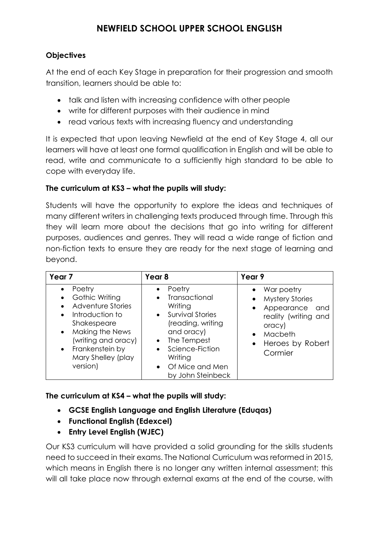### **Objectives**

At the end of each Key Stage in preparation for their progression and smooth transition, learners should be able to:

- talk and listen with increasing confidence with other people
- write for different purposes with their audience in mind
- read various texts with increasing fluency and understanding

It is expected that upon leaving Newfield at the end of Key Stage 4, all our learners will have at least one formal qualification in English and will be able to read, write and communicate to a sufficiently high standard to be able to cope with everyday life.

#### **The curriculum at KS3 – what the pupils will study:**

Students will have the opportunity to explore the ideas and techniques of many different writers in challenging texts produced through time. Through this they will learn more about the decisions that go into writing for different purposes, audiences and genres. They will read a wide range of fiction and non-fiction texts to ensure they are ready for the next stage of learning and beyond.

| Year <sub>7</sub>                                                                                                                                                                                        | Year <sub>8</sub>                                                                                                                                                                                          | Year 9                                                                                                                                                          |
|----------------------------------------------------------------------------------------------------------------------------------------------------------------------------------------------------------|------------------------------------------------------------------------------------------------------------------------------------------------------------------------------------------------------------|-----------------------------------------------------------------------------------------------------------------------------------------------------------------|
| Poetry<br>Gothic Writing<br>Adventure Stories<br>Introduction to<br>Shakespeare<br>Making the News<br>$\bullet$<br>(writing and oracy)<br>Frankenstein by<br>$\bullet$<br>Mary Shelley (play<br>version) | Poetry<br>$\bullet$<br>Transactional<br>Writing<br>• Survival Stories<br>(reading, writing<br>and oracy)<br>The Tempest<br>$\bullet$<br>Science-Fiction<br>Writing<br>Of Mice and Men<br>by John Steinbeck | War poetry<br><b>Mystery Stories</b><br>$\bullet$<br>Appearance<br>and<br>$\bullet$<br>reality (writing and<br>oracy)<br>Macbeth<br>Heroes by Robert<br>Cormier |

**The curriculum at KS4 – what the pupils will study:**

- **GCSE English Language and English Literature (Eduqas)**
- **Functional English (Edexcel)**
- **Entry Level English (WJEC)**

Our KS3 curriculum will have provided a solid grounding for the skills students need to succeed in their exams. The National Curriculum was reformed in 2015, which means in English there is no longer any written internal assessment; this will all take place now through external exams at the end of the course, with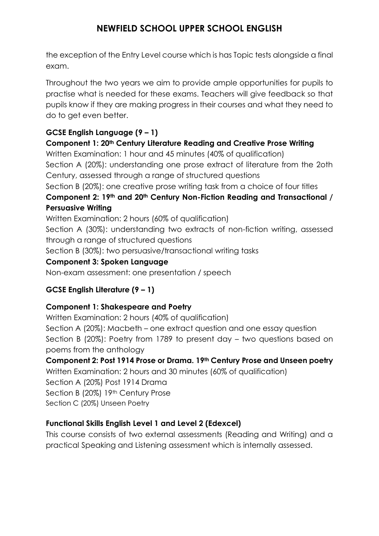the exception of the Entry Level course which is has Topic tests alongside a final exam.

Throughout the two years we aim to provide ample opportunities for pupils to practise what is needed for these exams. Teachers will give feedback so that pupils know if they are making progress in their courses and what they need to do to get even better.

# **GCSE English Language (9 – 1)**

#### **Component 1: 20th Century Literature Reading and Creative Prose Writing**

Written Examination: 1 hour and 45 minutes (40% of qualification)

Section A (20%): understanding one prose extract of literature from the 2oth Century, assessed through a range of structured questions

Section B (20%): one creative prose writing task from a choice of four titles

**Component 2: 19th and 20th Century Non-Fiction Reading and Transactional / Persuasive Writing**

Written Examination: 2 hours (60% of qualification)

Section A (30%): understanding two extracts of non-fiction writing, assessed through a range of structured questions

Section B (30%): two persuasive/transactional writing tasks

#### **Component 3: Spoken Language**

Non-exam assessment: one presentation / speech

## **GCSE English Literature (9 – 1)**

## **Component 1: Shakespeare and Poetry**

Written Examination: 2 hours (40% of qualification) Section A (20%): Macbeth – one extract question and one essay question Section B (20%): Poetry from 1789 to present day – two questions based on poems from the anthology

## **Component 2: Post 1914 Prose or Drama. 19th Century Prose and Unseen poetry**

Written Examination: 2 hours and 30 minutes (60% of qualification)

Section A (20%) Post 1914 Drama

Section B (20%) 19th Century Prose

Section C (20%) Unseen Poetry

## **Functional Skills English Level 1 and Level 2 (Edexcel)**

This course consists of two external assessments (Reading and Writing) and a practical Speaking and Listening assessment which is internally assessed.